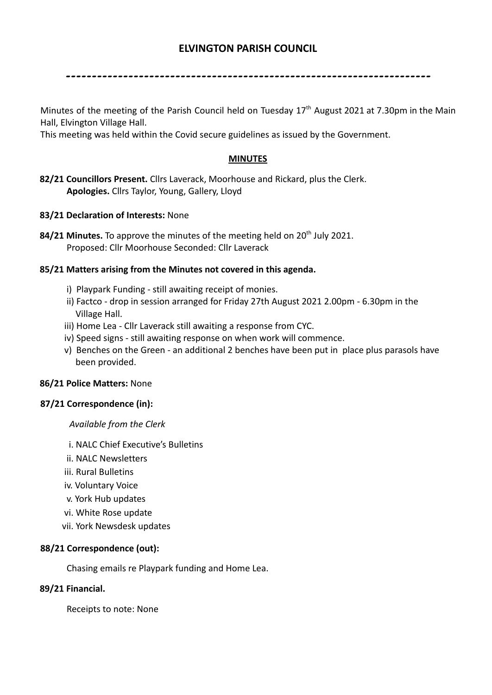# **ELVINGTON PARISH COUNCIL**

----------------------------------------------------------------------

Minutes of the meeting of the Parish Council held on Tuesday 17<sup>th</sup> August 2021 at 7.30pm in the Main Hall, Elvington Village Hall.

This meeting was held within the Covid secure guidelines as issued by the Government.

## **MINUTES**

- **82/21 Councillors Present.** Cllrs Laverack, Moorhouse and Rickard, plus the Clerk. **Apologies.** Cllrs Taylor, Young, Gallery, Lloyd
- **83/21 Declaration of Interests:** None
- 84/21 Minutes. To approve the minutes of the meeting held on 20<sup>th</sup> July 2021. Proposed: Cllr Moorhouse Seconded: Cllr Laverack

## **85/21 Matters arising from the Minutes not covered in this agenda.**

- i) Playpark Funding still awaiting receipt of monies.
- ii) Factco drop in session arranged for Friday 27th August 2021 2.00pm 6.30pm in the Village Hall.
- iii) Home Lea Cllr Laverack still awaiting a response from CYC.
- iv) Speed signs still awaiting response on when work will commence.
- v) Benches on the Green an additional 2 benches have been put in place plus parasols have been provided.

## **86/21 Police Matters:** None

## **87/21 Correspondence (in):**

*Available from the Clerk*

- i. NALC Chief Executive's Bulletins
- ii. NALC Newsletters
- iii. Rural Bulletins
- iv. Voluntary Voice
- v. York Hub updates
- vi. White Rose update
- vii. York Newsdesk updates

## **88/21 Correspondence (out):**

Chasing emails re Playpark funding and Home Lea.

## **89/21 Financial.**

Receipts to note: None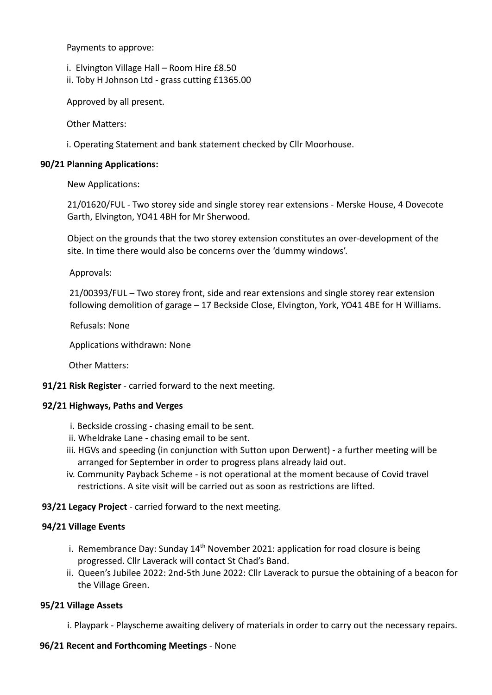Payments to approve:

i. Elvington Village Hall – Room Hire £8.50

ii. Toby H Johnson Ltd - grass cutting £1365.00

Approved by all present.

Other Matters:

i. Operating Statement and bank statement checked by Cllr Moorhouse.

## **90/21 Planning Applications:**

New Applications:

21/01620/FUL - Two storey side and single storey rear extensions - Merske House, 4 Dovecote Garth, Elvington, YO41 4BH for Mr Sherwood.

Object on the grounds that the two storey extension constitutes an over-development of the site. In time there would also be concerns over the 'dummy windows'.

Approvals:

21/00393/FUL – Two storey front, side and rear extensions and single storey rear extension following demolition of garage – 17 Beckside Close, Elvington, York, YO41 4BE for H Williams.

Refusals: None

Applications withdrawn: None

Other Matters:

**91/21 Risk Register** - carried forward to the next meeting.

## **92/21 Highways, Paths and Verges**

- i. Beckside crossing chasing email to be sent.
- ii. Wheldrake Lane chasing email to be sent.
- iii. HGVs and speeding (in conjunction with Sutton upon Derwent) a further meeting will be arranged for September in order to progress plans already laid out.
- iv. Community Payback Scheme is not operational at the moment because of Covid travel restrictions. A site visit will be carried out as soon as restrictions are lifted.

**93/21 Legacy Project** - carried forward to the next meeting.

## **94/21 Village Events**

- i. Remembrance Day: Sunday  $14<sup>th</sup>$  November 2021: application for road closure is being progressed. Cllr Laverack will contact St Chad's Band.
- ii. Queen's Jubilee 2022: 2nd-5th June 2022: Cllr Laverack to pursue the obtaining of a beacon for the Village Green.

## **95/21 Village Assets**

i. Playpark - Playscheme awaiting delivery of materials in order to carry out the necessary repairs.

## **96/21 Recent and Forthcoming Meetings** - None